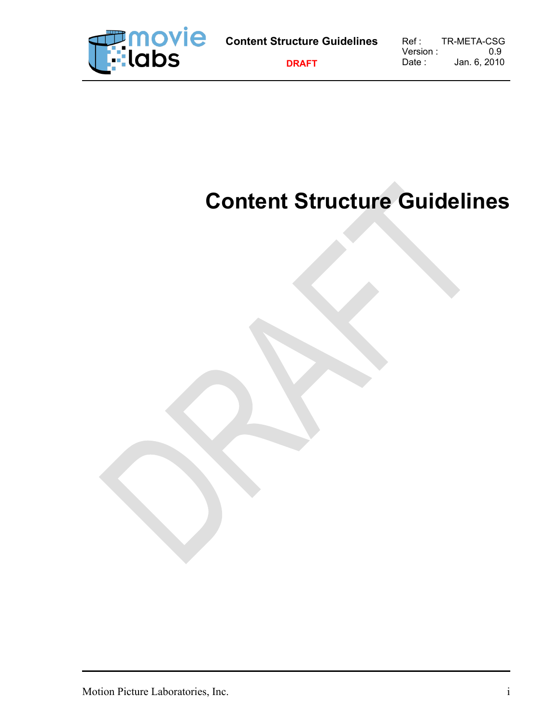

# **Content Structure Guidelines**

Motion Picture Laboratories, Inc. i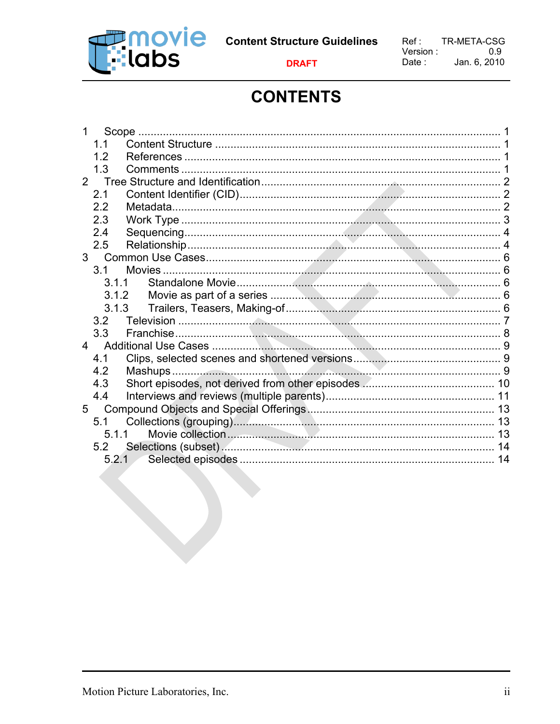

## **CONTENTS**

|                | Scope |  |    |
|----------------|-------|--|----|
|                | 1.1   |  |    |
|                | 1.2   |  |    |
|                | 1.3   |  |    |
| $2^{\circ}$    |       |  |    |
|                | 2.1   |  |    |
|                | 2.2   |  |    |
|                | 2.3   |  |    |
|                | 2.4   |  |    |
|                | 2.5   |  |    |
| 3 <sup>7</sup> |       |  |    |
|                | 3.1   |  |    |
|                | 3.1.1 |  |    |
|                | 3.1.2 |  |    |
|                | 3.1.3 |  |    |
|                | 3.2   |  |    |
|                | 3.3   |  |    |
| $\overline{4}$ |       |  |    |
|                | 4.1   |  |    |
|                | 4.2   |  |    |
|                | 4.3   |  |    |
|                | 4.4   |  |    |
| 5              |       |  |    |
|                | 5.1   |  |    |
|                | 5.1.1 |  |    |
|                | 5.2   |  |    |
|                | 5.2.1 |  | 14 |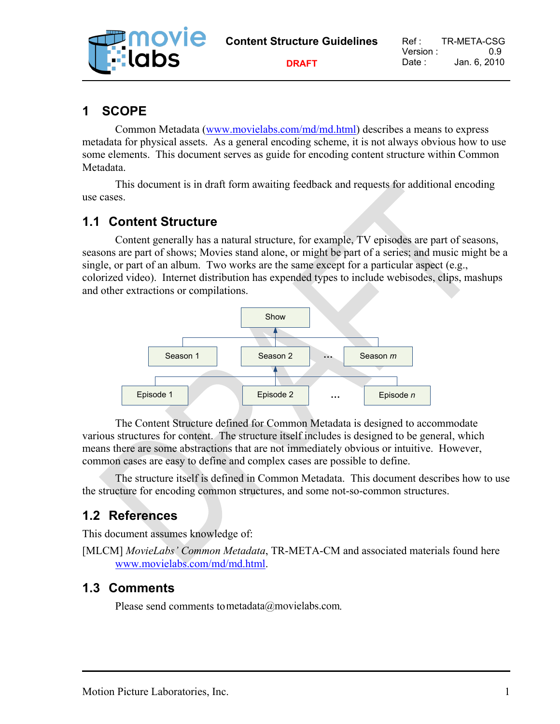| <b>Francie</b><br>Fridds | <b>Content Structure Guidelines</b> | Ref :<br>Version : - | TR-META-CSG<br>09 |
|--------------------------|-------------------------------------|----------------------|-------------------|
|                          | <b>DRAFT</b>                        | Date :               | Jan. 6. 2010      |

## **1 SCOPE**

Common Metadata [\(www.movielabs.com/md/md.html\)](http://www.movielabs.com/md/md.html) describes a means to express metadata for physical assets. As a general encoding scheme, it is not always obvious how to use some elements. This document serves as guide for encoding content structure within Common Metadata.

This document is in draft form awaiting feedback and requests for additional encoding use cases.

## **1.1 Content Structure**

Content generally has a natural structure, for example, TV episodes are part of seasons, seasons are part of shows; Movies stand alone, or might be part of a series; and music might be a single, or part of an album. Two works are the same except for a particular aspect (e.g., colorized video). Internet distribution has expended types to include webisodes, clips, mashups and other extractions or compilations.



The Content Structure defined for Common Metadata is designed to accommodate various structures for content. The structure itself includes is designed to be general, which means there are some abstractions that are not immediately obvious or intuitive. However, common cases are easy to define and complex cases are possible to define.

The structure itself is defined in Common Metadata. This document describes how to use the structure for encoding common structures, and some not-so-common structures.

## **1.2 References**

This document assumes knowledge of:

[MLCM] *MovieLabs' Common Metadata*, TR-META-CM and associated materials found here [www.movielabs.com/md/md.html.](http://www.movielabs.com/md/md.html)

#### **1.3 Comments**

Please send comments to metadata@movielabs.com.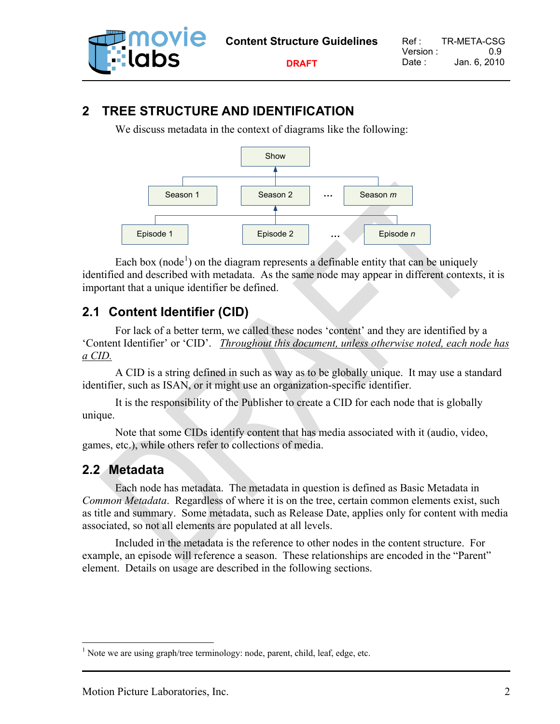

## **2 TREE STRUCTURE AND IDENTIFICATION**

We discuss metadata in the context of diagrams like the following:



Each box (node<sup>[1](#page-3-0)</sup>) on the diagram represents a definable entity that can be uniquely identified and described with metadata. As the same node may appear in different contexts, it is important that a unique identifier be defined.

## **2.1 Content Identifier (CID)**

For lack of a better term, we called these nodes 'content' and they are identified by a 'Content Identifier' or 'CID'. *Throughout this document, unless otherwise noted, each node has a CID.* 

A CID is a string defined in such as way as to be globally unique. It may use a standard identifier, such as ISAN, or it might use an organization-specific identifier.

It is the responsibility of the Publisher to create a CID for each node that is globally unique.

Note that some CIDs identify content that has media associated with it (audio, video, games, etc.), while others refer to collections of media.

## **2.2 Metadata**

Each node has metadata. The metadata in question is defined as Basic Metadata in *Common Metadata*. Regardless of where it is on the tree, certain common elements exist, such as title and summary. Some metadata, such as Release Date, applies only for content with media associated, so not all elements are populated at all levels.

Included in the metadata is the reference to other nodes in the content structure. For example, an episode will reference a season. These relationships are encoded in the "Parent" element. Details on usage are described in the following sections.

<span id="page-3-0"></span> $<sup>1</sup>$  Note we are using graph/tree terminology: node, parent, child, leaf, edge, etc.</sup>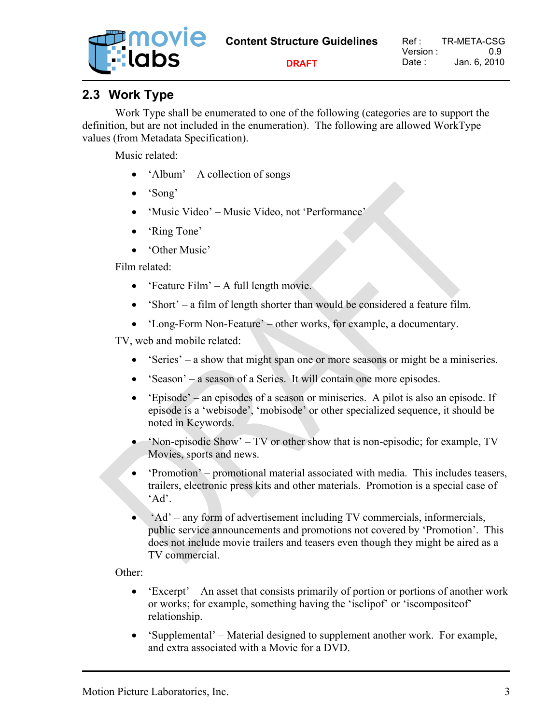| <b>Expression Section</b><br>Explorer | <b>Content Structure Guidelines</b> | Ref :<br>Version : | TR-META-CSG<br>() 9 |
|---------------------------------------|-------------------------------------|--------------------|---------------------|
|                                       | <b>DRAFT</b>                        | Date : :           | Jan. 6. 2010        |

## **2.3 Work Type**

Work Type shall be enumerated to one of the following (categories are to support the definition, but are not included in the enumeration). The following are allowed WorkType values (from Metadata Specification).

Music related:

- 'Album' A collection of songs
- 'Song'
- 'Music Video' Music Video, not 'Performance'
- 'Ring Tone'
- 'Other Music'

Film related:

- 'Feature Film' A full length movie.
- 'Short' a film of length shorter than would be considered a feature film.
- 'Long-Form Non-Feature' other works, for example, a documentary.

TV, web and mobile related:

- 'Series' a show that might span one or more seasons or might be a miniseries.
- 'Season' a season of a Series. It will contain one more episodes.
- 'Episode' an episodes of a season or miniseries. A pilot is also an episode. If episode is a 'webisode', 'mobisode' or other specialized sequence, it should be noted in Keywords.
- 'Non-episodic Show' TV or other show that is non-episodic; for example, TV Movies, sports and news.
- 'Promotion' promotional material associated with media. This includes teasers, trailers, electronic press kits and other materials. Promotion is a special case of 'Ad'.
- 'Ad' any form of advertisement including TV commercials, informercials, public service announcements and promotions not covered by 'Promotion'. This does not include movie trailers and teasers even though they might be aired as a TV commercial.

Other:

- 'Excerpt' An asset that consists primarily of portion or portions of another work or works; for example, something having the 'isclipof' or 'iscompositeof' relationship.
- 'Supplemental' Material designed to supplement another work. For example, and extra associated with a Movie for a DVD.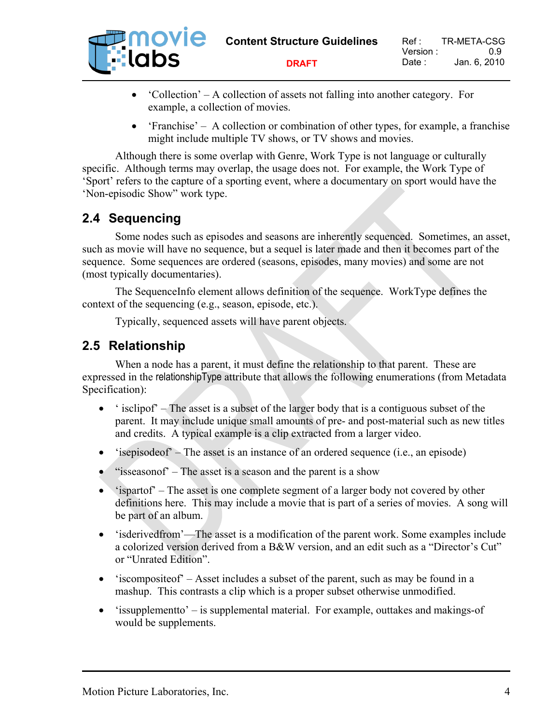

- 'Collection' A collection of assets not falling into another category. For example, a collection of movies.
- 'Franchise' A collection or combination of other types, for example, a franchise might include multiple TV shows, or TV shows and movies.

Although there is some overlap with Genre, Work Type is not language or culturally specific. Although terms may overlap, the usage does not. For example, the Work Type of 'Sport' refers to the capture of a sporting event, where a documentary on sport would have the 'Non-episodic Show" work type.

## **2.4 Sequencing**

Some nodes such as episodes and seasons are inherently sequenced. Sometimes, an asset, such as movie will have no sequence, but a sequel is later made and then it becomes part of the sequence. Some sequences are ordered (seasons, episodes, many movies) and some are not (most typically documentaries).

The SequenceInfo element allows definition of the sequence. WorkType defines the context of the sequencing (e.g., season, episode, etc.).

Typically, sequenced assets will have parent objects.

## **2.5 Relationship**

When a node has a parent, it must define the relationship to that parent. These are expressed in the relationshipType attribute that allows the following enumerations (from Metadata Specification):

- $\bullet$  ' isclipof' The asset is a subset of the larger body that is a contiguous subset of the parent. It may include unique small amounts of pre- and post-material such as new titles and credits. A typical example is a clip extracted from a larger video.
- $\bullet$  'isepisode of  $\bullet$  The asset is an instance of an ordered sequence (i.e., an episode)
- "isseasonof" The asset is a season and the parent is a show
- 'ispart of  $\overline{ }$  The asset is one complete segment of a larger body not covered by other definitions here. This may include a movie that is part of a series of movies. A song will be part of an album.
- 'isderivedfrom'—The asset is a modification of the parent work. Some examples include a colorized version derived from a B&W version, and an edit such as a "Director's Cut" or "Unrated Edition".
- 'iscomposite of  $-$  Asset includes a subset of the parent, such as may be found in a mashup. This contrasts a clip which is a proper subset otherwise unmodified.
- 'issupplement to' is supplemental material. For example, outtakes and makings-of would be supplements.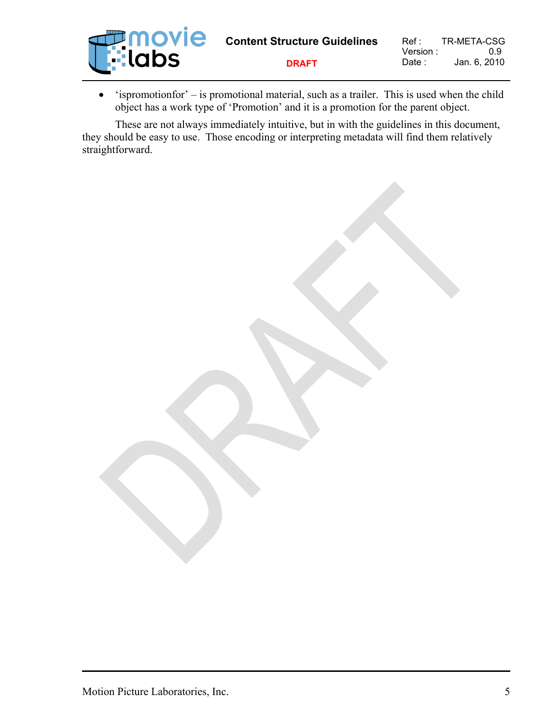

• 'ispromotionfor' – is promotional material, such as a trailer. This is used when the child object has a work type of 'Promotion' and it is a promotion for the parent object.

These are not always immediately intuitive, but in with the guidelines in this document, they should be easy to use. Those encoding or interpreting metadata will find them relatively straightforward.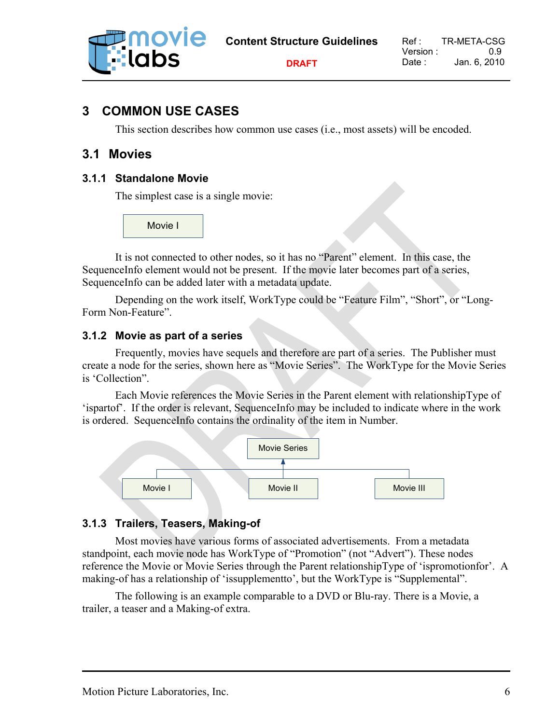

**DRAFT**

## **3 COMMON USE CASES**

This section describes how common use cases (i.e., most assets) will be encoded.

#### **3.1 Movies**

#### **3.1.1 Standalone Movie**

The simplest case is a single movie:

Movie I

It is not connected to other nodes, so it has no "Parent" element. In this case, the SequenceInfo element would not be present. If the movie later becomes part of a series, SequenceInfo can be added later with a metadata update.

Depending on the work itself, WorkType could be "Feature Film", "Short", or "Long-Form Non-Feature".

#### **3.1.2 Movie as part of a series**

Frequently, movies have sequels and therefore are part of a series. The Publisher must create a node for the series, shown here as "Movie Series". The WorkType for the Movie Series is 'Collection".

Each Movie references the Movie Series in the Parent element with relationshipType of 'ispartof'. If the order is relevant, SequenceInfo may be included to indicate where in the work is ordered. SequenceInfo contains the ordinality of the item in Number.



#### **3.1.3 Trailers, Teasers, Making-of**

Most movies have various forms of associated advertisements. From a metadata standpoint, each movie node has WorkType of "Promotion" (not "Advert"). These nodes reference the Movie or Movie Series through the Parent relationshipType of 'ispromotionfor'. A making-of has a relationship of 'issupplementto', but the WorkType is "Supplemental".

The following is an example comparable to a DVD or Blu-ray. There is a Movie, a trailer, a teaser and a Making-of extra.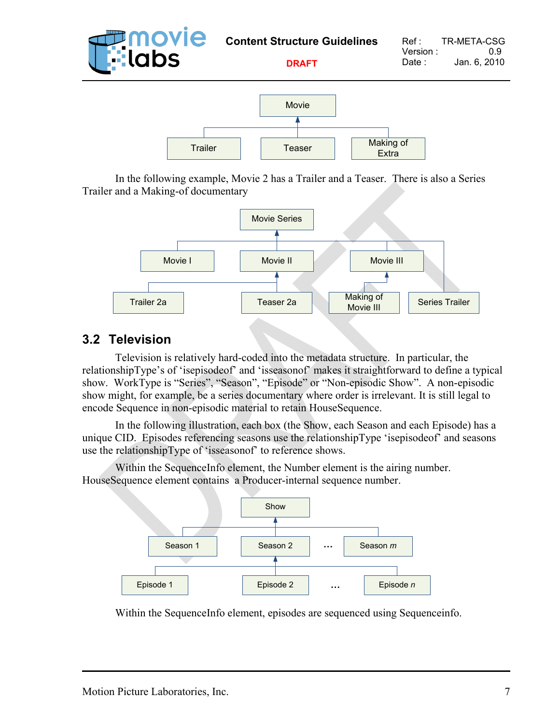

In the following example, Movie 2 has a Trailer and a Teaser. There is also a Series Trailer and a Making-of documentary



## **3.2 Television**

Television is relatively hard-coded into the metadata structure. In particular, the relationshipType's of 'isepisodeof' and 'isseasonof' makes it straightforward to define a typical show. WorkType is "Series", "Season", "Episode" or "Non-episodic Show". A non-episodic show might, for example, be a series documentary where order is irrelevant. It is still legal to encode Sequence in non-episodic material to retain HouseSequence.

In the following illustration, each box (the Show, each Season and each Episode) has a unique CID. Episodes referencing seasons use the relationshipType 'isepisodeof' and seasons use the relationshipType of 'isseasonof' to reference shows.

Within the SequenceInfo element, the Number element is the airing number. HouseSequence element contains a Producer-internal sequence number.



Within the SequenceInfo element, episodes are sequenced using Sequenceinfo.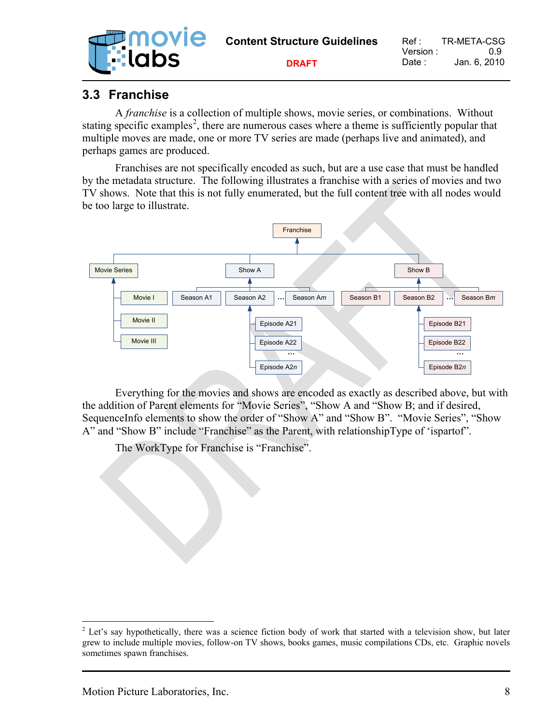| <b>Filmovie</b><br>E::labs | <b>Content Structure Guidelines</b> | Ref :               | TR-META-CSG         |
|----------------------------|-------------------------------------|---------------------|---------------------|
|                            | <b>DRAFT</b>                        | Version :<br>Date : | -09<br>Jan. 6. 2010 |

## **3.3 Franchise**

A *franchise* is a collection of multiple shows, movie series, or combinations. Without stating specific examples<sup>[2](#page-9-0)</sup>, there are numerous cases where a theme is sufficiently popular that multiple moves are made, one or more TV series are made (perhaps live and animated), and perhaps games are produced.

Franchises are not specifically encoded as such, but are a use case that must be handled by the metadata structure. The following illustrates a franchise with a series of movies and two TV shows. Note that this is not fully enumerated, but the full content tree with all nodes would be too large to illustrate.



Everything for the movies and shows are encoded as exactly as described above, but with the addition of Parent elements for "Movie Series", "Show A and "Show B; and if desired, SequenceInfo elements to show the order of "Show A" and "Show B". "Movie Series", "Show A" and "Show B" include "Franchise" as the Parent, with relationshipType of 'ispartof".

The WorkType for Franchise is "Franchise".

<span id="page-9-0"></span><sup>&</sup>lt;sup>2</sup> Let's say hypothetically, there was a science fiction body of work that started with a television show, but later grew to include multiple movies, follow-on TV shows, books games, music compilations CDs, etc. Graphic novels sometimes spawn franchises.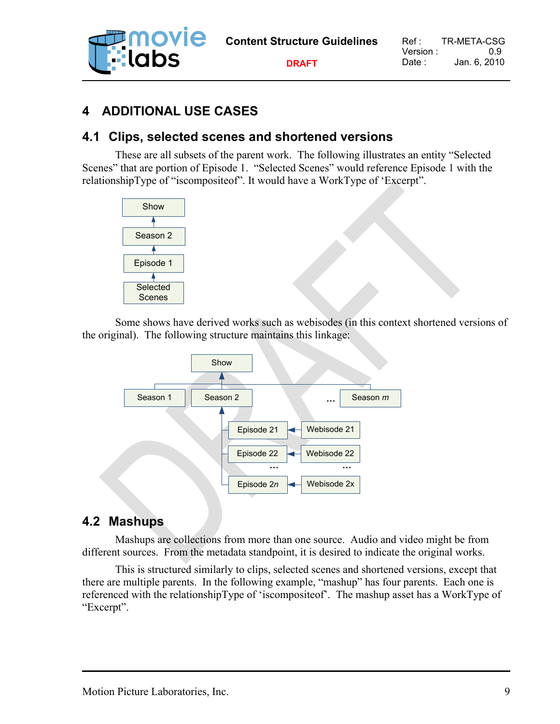

#### **DRAFT**

## **4 ADDITIONAL USE CASES**

## **4.1 Clips, selected scenes and shortened versions**

These are all subsets of the parent work. The following illustrates an entity "Selected Scenes" that are portion of Episode 1. "Selected Scenes" would reference Episode 1 with the relationshipType of "iscompositeof". It would have a WorkType of 'Excerpt".



Some shows have derived works such as webisodes (in this context shortened versions of the original). The following structure maintains this linkage:



#### **4.2 Mashups**

Mashups are collections from more than one source. Audio and video might be from different sources. From the metadata standpoint, it is desired to indicate the original works.

This is structured similarly to clips, selected scenes and shortened versions, except that there are multiple parents. In the following example, "mashup" has four parents. Each one is referenced with the relationshipType of 'iscompositeof'. The mashup asset has a WorkType of "Excerpt".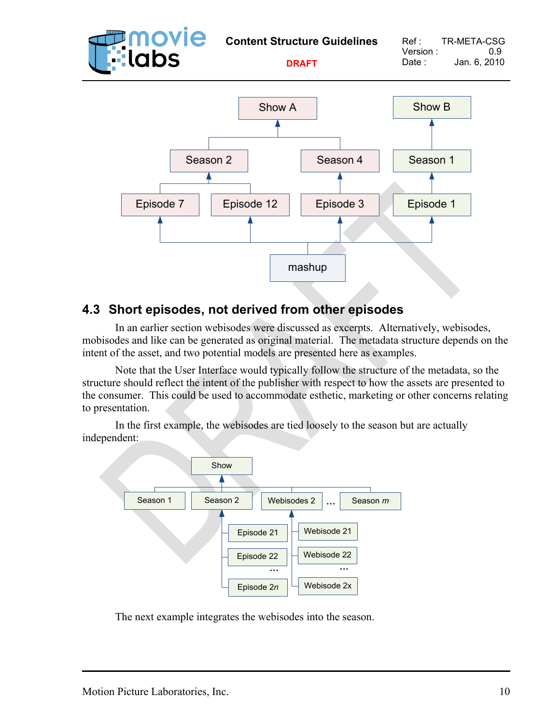

## **4.3 Short episodes, not derived from other episodes**

In an earlier section webisodes were discussed as excerpts. Alternatively, webisodes, mobisodes and like can be generated as original material. The metadata structure depends on the intent of the asset, and two potential models are presented here as examples.

Note that the User Interface would typically follow the structure of the metadata, so the structure should reflect the intent of the publisher with respect to how the assets are presented to the consumer. This could be used to accommodate esthetic, marketing or other concerns relating to presentation.

In the first example, the webisodes are tied loosely to the season but are actually independent:



The next example integrates the webisodes into the season.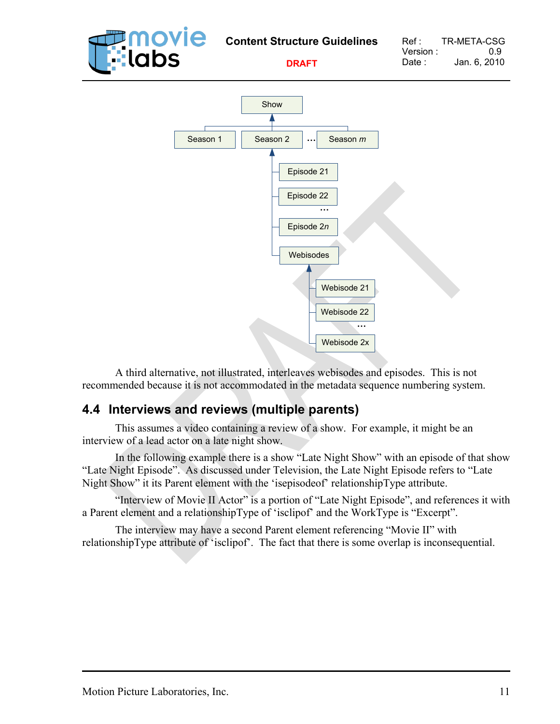

A third alternative, not illustrated, interleaves webisodes and episodes. This is not recommended because it is not accommodated in the metadata sequence numbering system.

## **4.4 Interviews and reviews (multiple parents)**

This assumes a video containing a review of a show. For example, it might be an interview of a lead actor on a late night show.

In the following example there is a show "Late Night Show" with an episode of that show "Late Night Episode". As discussed under Television, the Late Night Episode refers to "Late Night Show" it its Parent element with the 'isepisodeof' relationshipType attribute.

"Interview of Movie II Actor" is a portion of "Late Night Episode", and references it with a Parent element and a relationshipType of 'isclipof' and the WorkType is "Excerpt".

The interview may have a second Parent element referencing "Movie II" with relationshipType attribute of 'isclipof'. The fact that there is some overlap is inconsequential.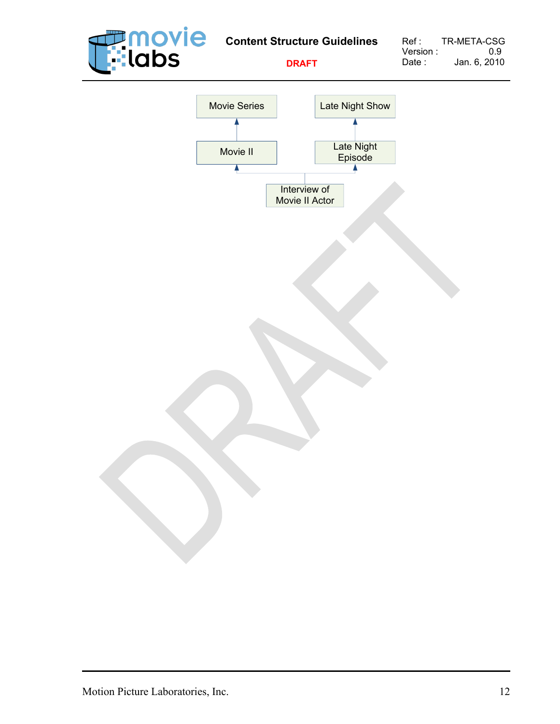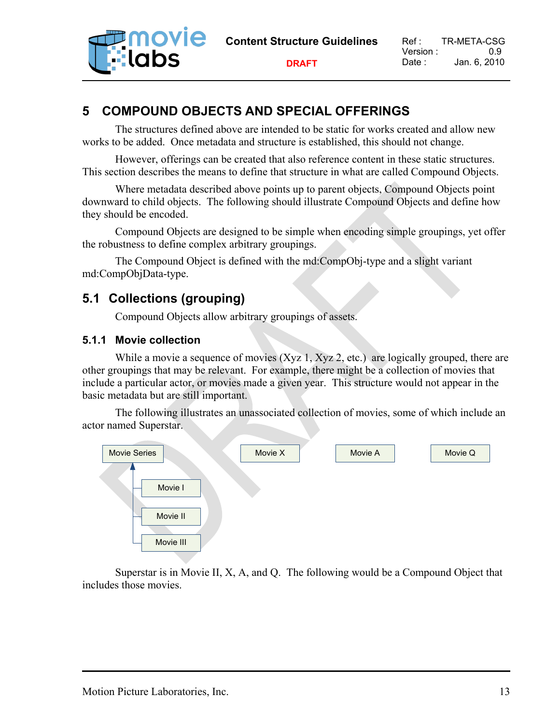

**DRAFT**

## **5 COMPOUND OBJECTS AND SPECIAL OFFERINGS**

The structures defined above are intended to be static for works created and allow new works to be added. Once metadata and structure is established, this should not change.

However, offerings can be created that also reference content in these static structures. This section describes the means to define that structure in what are called Compound Objects.

Where metadata described above points up to parent objects, Compound Objects point downward to child objects. The following should illustrate Compound Objects and define how they should be encoded.

Compound Objects are designed to be simple when encoding simple groupings, yet offer the robustness to define complex arbitrary groupings.

The Compound Object is defined with the md:CompObj-type and a slight variant md:CompObjData-type.

## **5.1 Collections (grouping)**

Compound Objects allow arbitrary groupings of assets.

#### **5.1.1 Movie collection**

While a movie a sequence of movies  $(Xyz 1, Xyz 2, etc.)$  are logically grouped, there are other groupings that may be relevant. For example, there might be a collection of movies that include a particular actor, or movies made a given year. This structure would not appear in the basic metadata but are still important.

The following illustrates an unassociated collection of movies, some of which include an actor named Superstar.



Superstar is in Movie II, X, A, and Q. The following would be a Compound Object that includes those movies.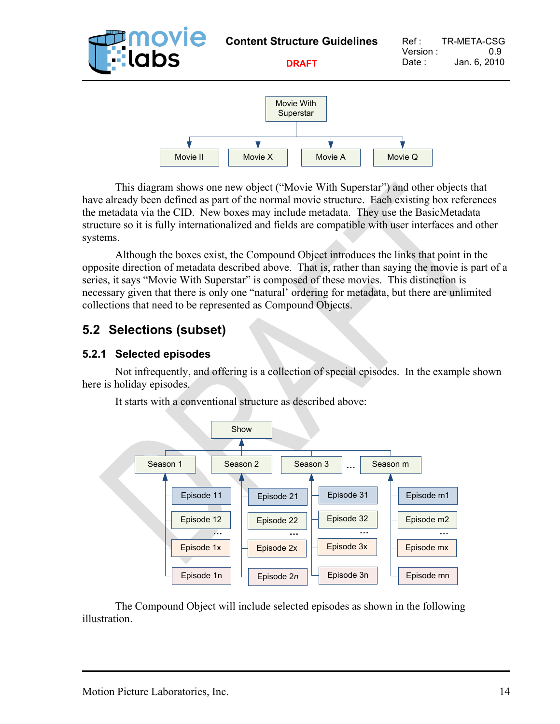

This diagram shows one new object ("Movie With Superstar") and other objects that have already been defined as part of the normal movie structure. Each existing box references the metadata via the CID. New boxes may include metadata. They use the BasicMetadata structure so it is fully internationalized and fields are compatible with user interfaces and other systems.

Although the boxes exist, the Compound Object introduces the links that point in the opposite direction of metadata described above. That is, rather than saying the movie is part of a series, it says "Movie With Superstar" is composed of these movies. This distinction is necessary given that there is only one "natural' ordering for metadata, but there are unlimited collections that need to be represented as Compound Objects.

## **5.2 Selections (subset)**

#### **5.2.1 Selected episodes**

Not infrequently, and offering is a collection of special episodes. In the example shown here is holiday episodes.



It starts with a conventional structure as described above:

The Compound Object will include selected episodes as shown in the following illustration.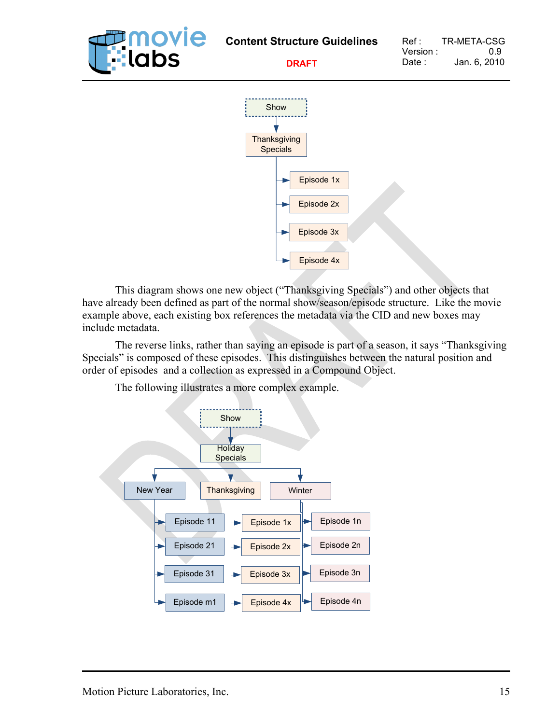

This diagram shows one new object ("Thanksgiving Specials") and other objects that have already been defined as part of the normal show/season/episode structure. Like the movie example above, each existing box references the metadata via the CID and new boxes may include metadata.

The reverse links, rather than saying an episode is part of a season, it says "Thanksgiving Specials" is composed of these episodes. This distinguishes between the natural position and order of episodes and a collection as expressed in a Compound Object.

The following illustrates a more complex example.